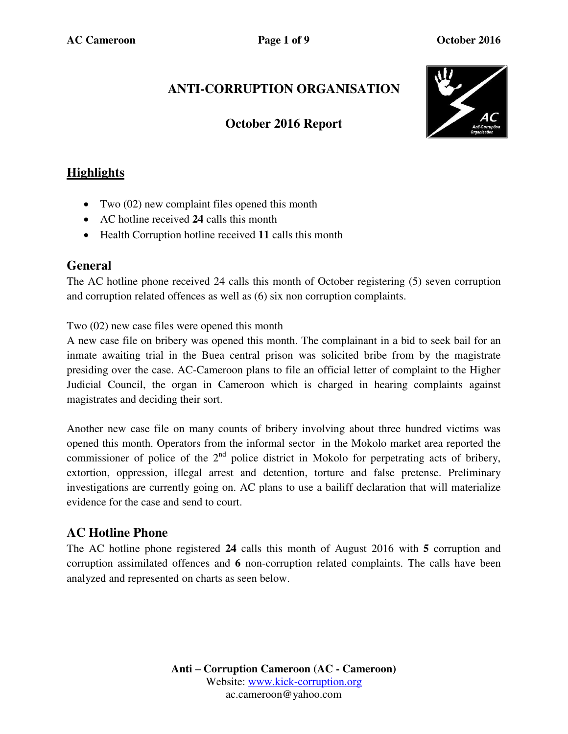# **ANTI-CORRUPTION ORGANISATION**

### **October 2016 Report**



## **Highlights**

- Two (02) new complaint files opened this month
- AC hotline received **24** calls this month
- Health Corruption hotline received **11** calls this month

#### **General**

The AC hotline phone received 24 calls this month of October registering (5) seven corruption and corruption related offences as well as (6) six non corruption complaints.

Two (02) new case files were opened this month

A new case file on bribery was opened this month. The complainant in a bid to seek bail for an inmate awaiting trial in the Buea central prison was solicited bribe from by the magistrate presiding over the case. AC-Cameroon plans to file an official letter of complaint to the Higher Judicial Council, the organ in Cameroon which is charged in hearing complaints against magistrates and deciding their sort.

Another new case file on many counts of bribery involving about three hundred victims was opened this month. Operators from the informal sector in the Mokolo market area reported the commissioner of police of the  $2<sup>nd</sup>$  police district in Mokolo for perpetrating acts of bribery, extortion, oppression, illegal arrest and detention, torture and false pretense. Preliminary investigations are currently going on. AC plans to use a bailiff declaration that will materialize evidence for the case and send to court.

#### **AC Hotline Phone**

The AC hotline phone registered **24** calls this month of August 2016 with **5** corruption and corruption assimilated offences and **6** non-corruption related complaints. The calls have been analyzed and represented on charts as seen below.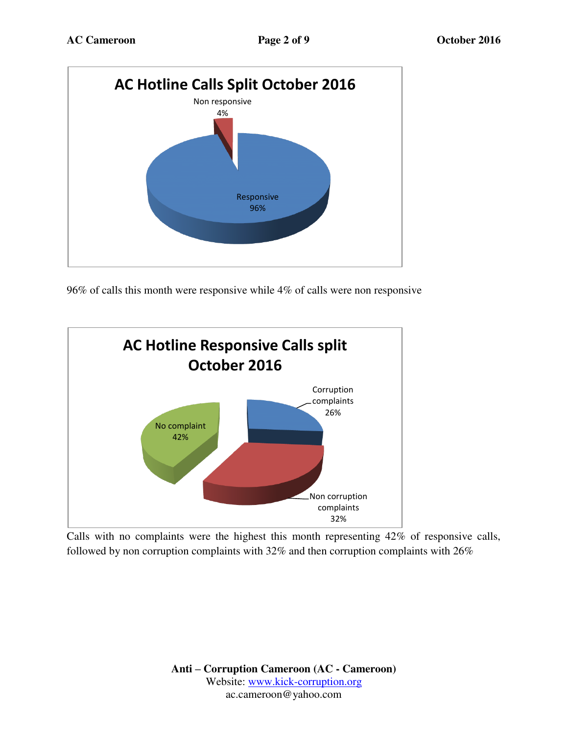

96% of calls this month were responsive while 4% of calls were non responsive



Calls with no complaints were the highest this month representing 42% of responsive calls, followed by non corruption complaints with 32% and then corruption complaints with 26%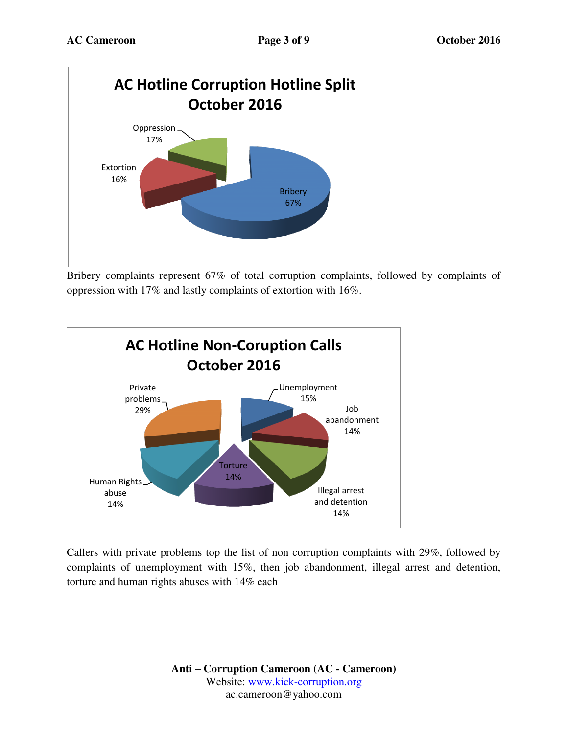

Bribery complaints represent 67% of total corruption complaints, followed by complaints of oppression with 17% and lastly complaints of extortion with 16%.



Callers with private problems top the list of non corruption complaints with 29%, followed by complaints of unemployment with 15%, then job abandonment, illegal arrest and detention, torture and human rights abuses with 14% each

> **Anti – Corruption Cameroon (AC - Cameroon)** Website: [www.kick-corruption.org](http://www.kick-corruption.org/) ac.cameroon@yahoo.com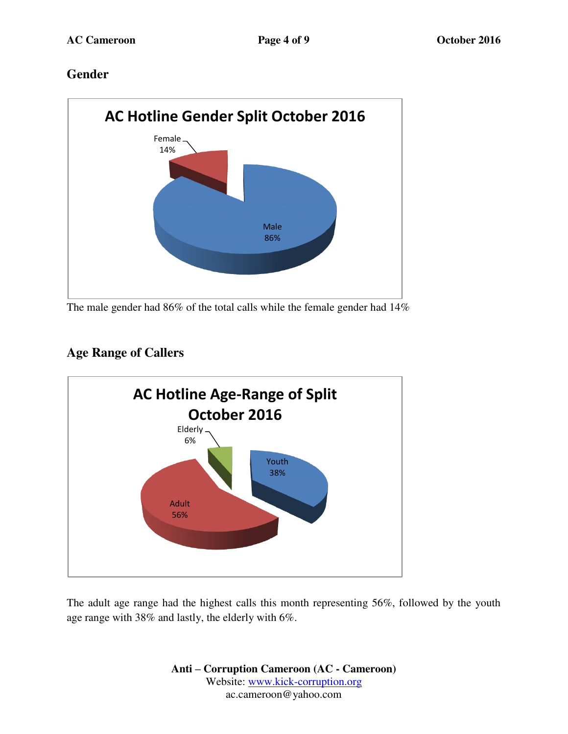### **Gender**



The male gender had 86% of the total calls while the female gender had 14%

# **Age Range of Callers**



The adult age range had the highest calls this month representing 56%, followed by the youth age range with 38% and lastly, the elderly with 6%.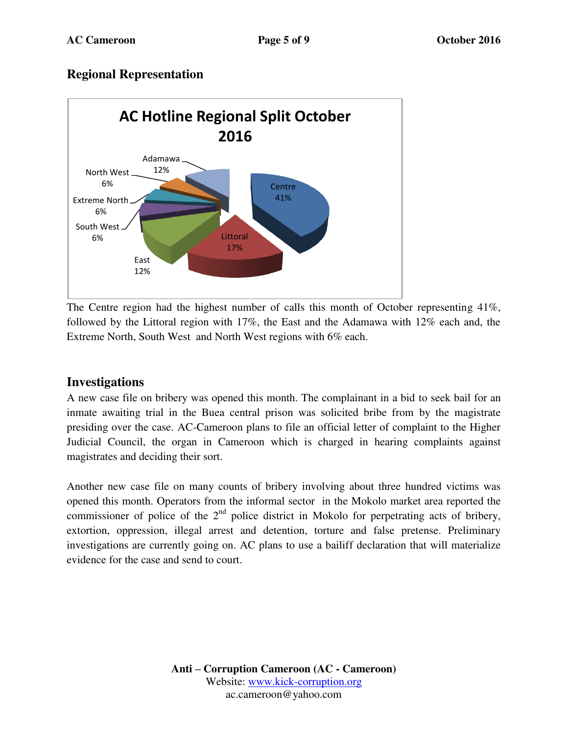### **Regional Representation**



The Centre region had the highest number of calls this month of October representing 41%, followed by the Littoral region with 17%, the East and the Adamawa with 12% each and, the Extreme North, South West and North West regions with 6% each.

#### **Investigations**

A new case file on bribery was opened this month. The complainant in a bid to seek bail for an inmate awaiting trial in the Buea central prison was solicited bribe from by the magistrate presiding over the case. AC-Cameroon plans to file an official letter of complaint to the Higher Judicial Council, the organ in Cameroon which is charged in hearing complaints against magistrates and deciding their sort.

Another new case file on many counts of bribery involving about three hundred victims was opened this month. Operators from the informal sector in the Mokolo market area reported the commissioner of police of the  $2<sup>nd</sup>$  police district in Mokolo for perpetrating acts of bribery, extortion, oppression, illegal arrest and detention, torture and false pretense. Preliminary investigations are currently going on. AC plans to use a bailiff declaration that will materialize evidence for the case and send to court.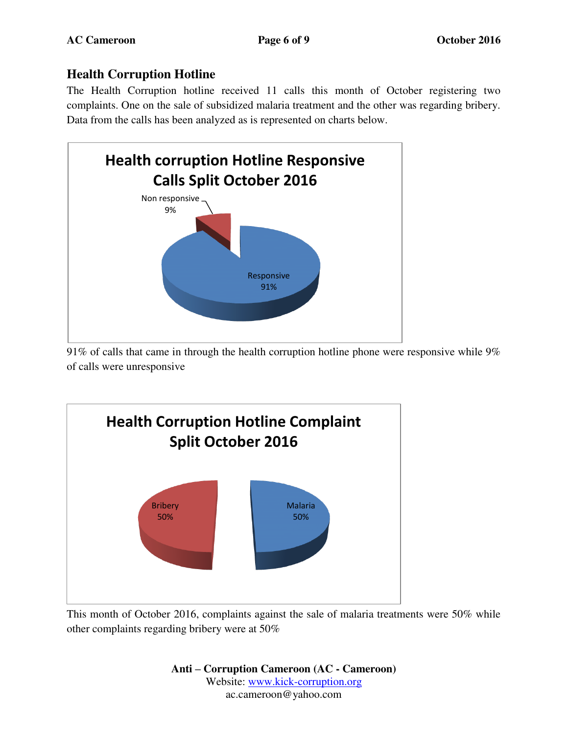## **Health Corruption Hotline**

The Health Corruption hotline received 11 calls this month of October registering two complaints. One on the sale of subsidized malaria treatment and the other was regarding bribery. Data from the calls has been analyzed as is represented on charts below.



91% of calls that came in through the health corruption hotline phone were responsive while 9% of calls were unresponsive



This month of October 2016, complaints against the sale of malaria treatments were 50% while other complaints regarding bribery were at 50%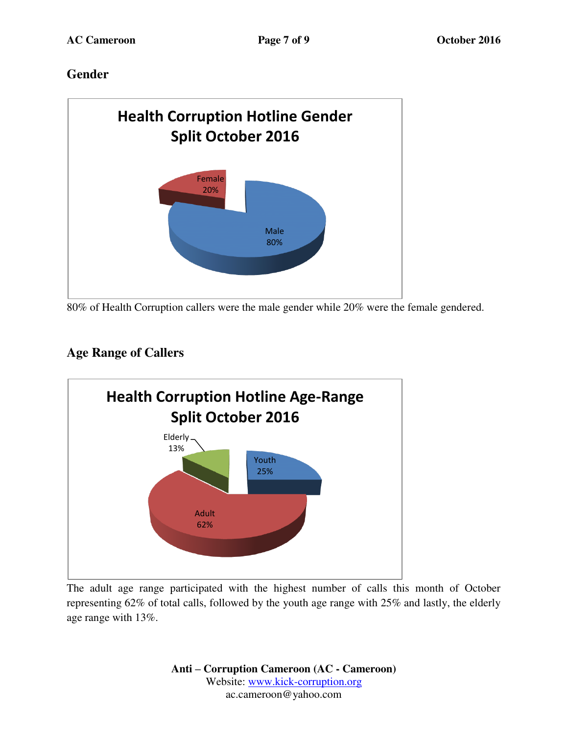## **Gender**



80% of Health Corruption callers were the male gender while 20% were the female gendered.

# **Age Range of Callers**



The adult age range participated with the highest number of calls this month of October representing 62% of total calls, followed by the youth age range with 25% and lastly, the elderly age range with 13%.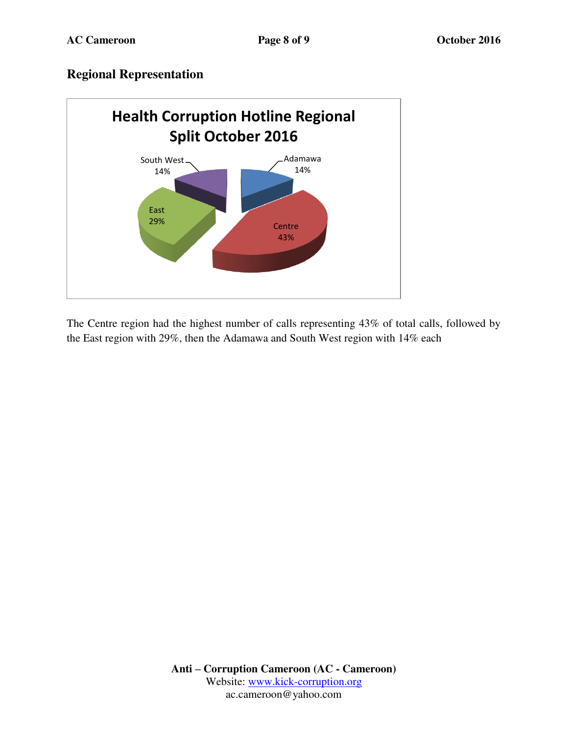#### **Regional Representation**



The Centre region had the highest number of calls representing 43% of total calls, followed by the East region with 29%, then the Adamawa and South West region with 14% each